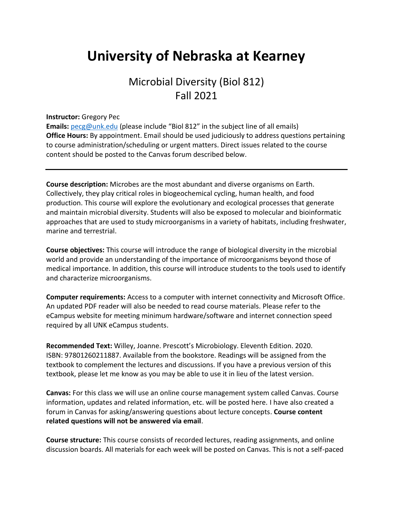# **University of Nebraska at Kearney**

## Microbial Diversity (Biol 812) Fall 2021

#### **Instructor:** Gregory Pec

**Emails:** [pecg@unk.edu](mailto:pecg@unk.edu) (please include "Biol 812" in the subject line of all emails) **Office Hours:** By appointment. Email should be used judiciously to address questions pertaining to course administration/scheduling or urgent matters. Direct issues related to the course content should be posted to the Canvas forum described below.

**Course description:** Microbes are the most abundant and diverse organisms on Earth. Collectively, they play critical roles in biogeochemical cycling, human health, and food production. This course will explore the evolutionary and ecological processes that generate and maintain microbial diversity. Students will also be exposed to molecular and bioinformatic approaches that are used to study microorganisms in a variety of habitats, including freshwater, marine and terrestrial.

**Course objectives:** This course will introduce the range of biological diversity in the microbial world and provide an understanding of the importance of microorganisms beyond those of medical importance. In addition, this course will introduce students to the tools used to identify and characterize microorganisms.

**Computer requirements:** Access to a computer with internet connectivity and Microsoft Office. An updated PDF reader will also be needed to read course materials. Please refer to the eCampus website for meeting minimum hardware/software and internet connection speed required by all UNK eCampus students.

**Recommended Text:** Willey, Joanne. Prescott's Microbiology. Eleventh Edition. 2020. ISBN: 97801260211887. Available from the bookstore. Readings will be assigned from the textbook to complement the lectures and discussions. If you have a previous version of this textbook, please let me know as you may be able to use it in lieu of the latest version.

**Canvas:** For this class we will use an online course management system called Canvas. Course information, updates and related information, etc. will be posted here. I have also created a forum in Canvas for asking/answering questions about lecture concepts. **Course content related questions will not be answered via email**.

**Course structure:** This course consists of recorded lectures, reading assignments, and online discussion boards. All materials for each week will be posted on Canvas. This is not a self-paced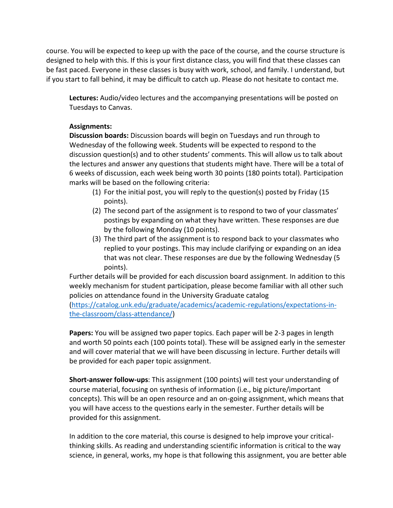course. You will be expected to keep up with the pace of the course, and the course structure is designed to help with this. If this is your first distance class, you will find that these classes can be fast paced. Everyone in these classes is busy with work, school, and family. I understand, but if you start to fall behind, it may be difficult to catch up. Please do not hesitate to contact me.

**Lectures:** Audio/video lectures and the accompanying presentations will be posted on Tuesdays to Canvas.

#### **Assignments:**

**Discussion boards:** Discussion boards will begin on Tuesdays and run through to Wednesday of the following week. Students will be expected to respond to the discussion question(s) and to other students' comments. This will allow us to talk about the lectures and answer any questions that students might have. There will be a total of 6 weeks of discussion, each week being worth 30 points (180 points total). Participation marks will be based on the following criteria:

- (1) For the initial post, you will reply to the question(s) posted by Friday (15 points).
- (2) The second part of the assignment is to respond to two of your classmates' postings by expanding on what they have written. These responses are due by the following Monday (10 points).
- (3) The third part of the assignment is to respond back to your classmates who replied to your postings. This may include clarifying or expanding on an idea that was not clear. These responses are due by the following Wednesday (5 points).

Further details will be provided for each discussion board assignment. In addition to this weekly mechanism for student participation, please become familiar with all other such policies on attendance found in the University Graduate catalog

[\(https://catalog.unk.edu/graduate/academics/academic-regulations/expectations-in](https://catalog.unk.edu/graduate/academics/academic-regulations/expectations-in-the-classroom/class-attendance/)[the-classroom/class-attendance/\)](https://catalog.unk.edu/graduate/academics/academic-regulations/expectations-in-the-classroom/class-attendance/)

**Papers:** You will be assigned two paper topics. Each paper will be 2-3 pages in length and worth 50 points each (100 points total). These will be assigned early in the semester and will cover material that we will have been discussing in lecture. Further details will be provided for each paper topic assignment.

**Short-answer follow-ups**: This assignment (100 points) will test your understanding of course material, focusing on synthesis of information (i.e., big picture/important concepts). This will be an open resource and an on-going assignment, which means that you will have access to the questions early in the semester. Further details will be provided for this assignment.

In addition to the core material, this course is designed to help improve your criticalthinking skills. As reading and understanding scientific information is critical to the way science, in general, works, my hope is that following this assignment, you are better able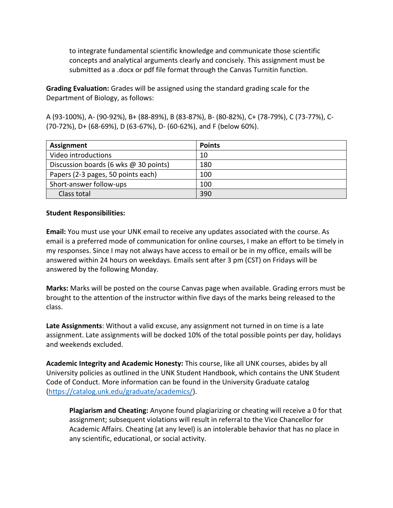to integrate fundamental scientific knowledge and communicate those scientific concepts and analytical arguments clearly and concisely. This assignment must be submitted as a .docx or pdf file format through the Canvas Turnitin function.

**Grading Evaluation:** Grades will be assigned using the standard grading scale for the Department of Biology, as follows:

A (93-100%), A- (90-92%), B+ (88-89%), B (83-87%), B- (80-82%), C+ (78-79%), C (73-77%), C- (70-72%), D+ (68-69%), D (63-67%), D- (60-62%), and F (below 60%).

| <b>Assignment</b>                     | <b>Points</b> |
|---------------------------------------|---------------|
| Video introductions                   | 10            |
| Discussion boards (6 wks @ 30 points) | 180           |
| Papers (2-3 pages, 50 points each)    | 100           |
| Short-answer follow-ups               | 100           |
| Class total                           | 390           |

#### **Student Responsibilities:**

**Email:** You must use your UNK email to receive any updates associated with the course. As email is a preferred mode of communication for online courses, I make an effort to be timely in my responses. Since I may not always have access to email or be in my office, emails will be answered within 24 hours on weekdays. Emails sent after 3 pm (CST) on Fridays will be answered by the following Monday.

**Marks:** Marks will be posted on the course Canvas page when available. Grading errors must be brought to the attention of the instructor within five days of the marks being released to the class.

**Late Assignments**: Without a valid excuse, any assignment not turned in on time is a late assignment. Late assignments will be docked 10% of the total possible points per day, holidays and weekends excluded.

**Academic Integrity and Academic Honesty:** This course, like all UNK courses, abides by all University policies as outlined in the UNK Student Handbook, which contains the UNK Student Code of Conduct. More information can be found in the University Graduate catalog [\(https://catalog.unk.edu/graduate/academics/\)](https://catalog.unk.edu/graduate/academics/).

**Plagiarism and Cheating:** Anyone found plagiarizing or cheating will receive a 0 for that assignment; subsequent violations will result in referral to the Vice Chancellor for Academic Affairs. Cheating (at any level) is an intolerable behavior that has no place in any scientific, educational, or social activity.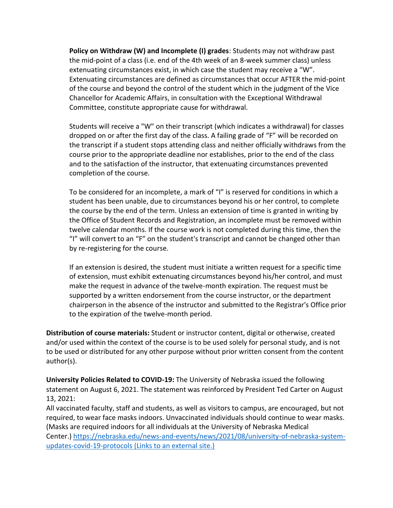**Policy on Withdraw (W) and Incomplete (I) grades**: Students may not withdraw past the mid-point of a class (i.e. end of the 4th week of an 8-week summer class) unless extenuating circumstances exist, in which case the student may receive a "W". Extenuating circumstances are defined as circumstances that occur AFTER the mid-point of the course and beyond the control of the student which in the judgment of the Vice Chancellor for Academic Affairs, in consultation with the Exceptional Withdrawal Committee, constitute appropriate cause for withdrawal.

Students will receive a "W" on their transcript (which indicates a withdrawal) for classes dropped on or after the first day of the class. A failing grade of "F" will be recorded on the transcript if a student stops attending class and neither officially withdraws from the course prior to the appropriate deadline nor establishes, prior to the end of the class and to the satisfaction of the instructor, that extenuating circumstances prevented completion of the course.

To be considered for an incomplete, a mark of "I" is reserved for conditions in which a student has been unable, due to circumstances beyond his or her control, to complete the course by the end of the term. Unless an extension of time is granted in writing by the Office of Student Records and Registration, an incomplete must be removed within twelve calendar months. If the course work is not completed during this time, then the "I" will convert to an "F" on the student's transcript and cannot be changed other than by re-registering for the course.

If an extension is desired, the student must initiate a written request for a specific time of extension, must exhibit extenuating circumstances beyond his/her control, and must make the request in advance of the twelve-month expiration. The request must be supported by a written endorsement from the course instructor, or the department chairperson in the absence of the instructor and submitted to the Registrar's Office prior to the expiration of the twelve-month period.

**Distribution of course materials:** Student or instructor content, digital or otherwise, created and/or used within the context of the course is to be used solely for personal study, and is not to be used or distributed for any other purpose without prior written consent from the content author(s).

**University Policies Related to COVID-19:** The University of Nebraska issued the following statement on August 6, 2021. The statement was reinforced by President Ted Carter on August 13, 2021:

All vaccinated faculty, staff and students, as well as visitors to campus, are encouraged, but not required, to wear face masks indoors. Unvaccinated individuals should continue to wear masks. (Masks are required indoors for all individuals at the University of Nebraska Medical Center.) [https://nebraska.edu/news-and-events/news/2021/08/university-of-nebraska-system](https://nebraska.edu/news-and-events/news/2021/08/university-of-nebraska-system-updates-covid-19-protocols)[updates-covid-19-protocols](https://nebraska.edu/news-and-events/news/2021/08/university-of-nebraska-system-updates-covid-19-protocols) (Links to an external site.)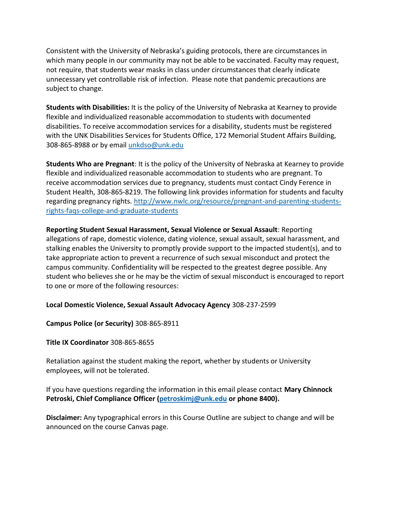Consistent with the University of Nebraska's guiding protocols, there are circumstances in which many people in our community may not be able to be vaccinated. Faculty may request, not require, that students wear masks in class under circumstances that clearly indicate unnecessary yet controllable risk of infection. Please note that pandemic precautions are subject to change.

**Students with Disabilities:** It is the policy of the University of Nebraska at Kearney to provide flexible and individualized reasonable accommodation to students with documented disabilities. To receive accommodation services for a disability, students must be registered with the UNK Disabilities Services for Students Office, 172 Memorial Student Affairs Building, 308-865-8988 or by email [unkdso@unk.edu](mailto:unkdso@unk.edu)

**Students Who are Pregnant**: It is the policy of the University of Nebraska at Kearney to provide flexible and individualized reasonable accommodation to students who are pregnant. To receive accommodation services due to pregnancy, students must contact Cindy Ference in Student Health, 308-865-8219. The following link provides information for students and faculty regarding pregnancy rights. [http://www.nwlc.org/resource/pregnant-and-parenting-students](https://urldefense.proofpoint.com/v2/url?u=http-3A__www.nwlc.org_resource_pregnant-2Dand-2Dparenting-2Dstudents-2Drights-2Dfaqs-2Dcollege-2Dand-2Dgraduate-2Dstudents&d=DwMFAg&c=Cu5g146wZdoqVuKpTNsYHeFX_rg6kWhlkLF8Eft-wwo&r=BJkIhAaMtWY7PlqIhIOyVw&m=RgBL3s2VNHfvD5ReMK2q_PhwYU8dbEt1vxs1BO4WkpQ&s=MmB91XAzaW-E7UPMXPGx9tWJQbTWJYyYzM8gLjhEzQ0&e=)[rights-faqs-college-and-graduate-students](https://urldefense.proofpoint.com/v2/url?u=http-3A__www.nwlc.org_resource_pregnant-2Dand-2Dparenting-2Dstudents-2Drights-2Dfaqs-2Dcollege-2Dand-2Dgraduate-2Dstudents&d=DwMFAg&c=Cu5g146wZdoqVuKpTNsYHeFX_rg6kWhlkLF8Eft-wwo&r=BJkIhAaMtWY7PlqIhIOyVw&m=RgBL3s2VNHfvD5ReMK2q_PhwYU8dbEt1vxs1BO4WkpQ&s=MmB91XAzaW-E7UPMXPGx9tWJQbTWJYyYzM8gLjhEzQ0&e=)

**Reporting Student Sexual Harassment, Sexual Violence or Sexual Assault**: Reporting allegations of rape, domestic violence, dating violence, sexual assault, sexual harassment, and stalking enables the University to promptly provide support to the impacted student(s), and to take appropriate action to prevent a recurrence of such sexual misconduct and protect the campus community. Confidentiality will be respected to the greatest degree possible. Any student who believes she or he may be the victim of sexual misconduct is encouraged to report to one or more of the following resources:

**Local Domestic Violence, Sexual Assault Advocacy Agency** 308-237-2599

**Campus Police (or Security)** 308-865-8911

**Title IX Coordinator** 308-865-8655

Retaliation against the student making the report, whether by students or University employees, will not be tolerated.

If you have questions regarding the information in this email please contact **Mary Chinnock Petroski, Chief Compliance Officer [\(petroskimj@unk.edu](mailto:petroskimj@unk.edu) or phone 8400).**

**Disclaimer:** Any typographical errors in this Course Outline are subject to change and will be announced on the course Canvas page.